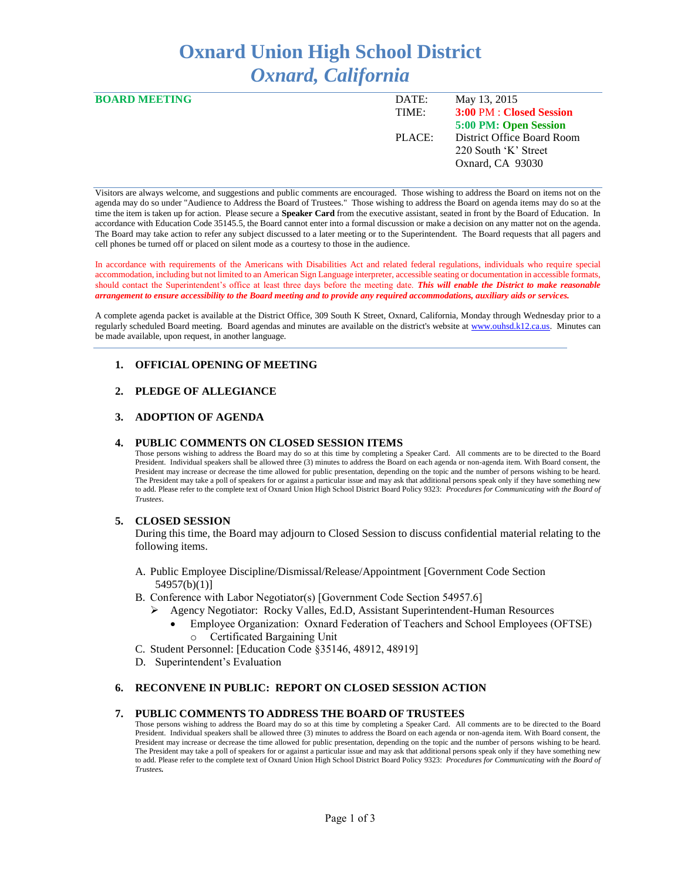# **Oxnard Union High School District** *Oxnard, California*

| <b>BOARD MEETING</b> | DATE:  | May 13, 2015               |
|----------------------|--------|----------------------------|
|                      | TIME:  | 3:00 PM : Closed Session   |
|                      |        | 5:00 PM: Open Session      |
|                      | PLACE: | District Office Board Room |
|                      |        | 220 South 'K' Street       |
|                      |        | Oxnard, CA 93030           |
|                      |        |                            |

Visitors are always welcome, and suggestions and public comments are encouraged. Those wishing to address the Board on items not on the agenda may do so under "Audience to Address the Board of Trustees." Those wishing to address the Board on agenda items may do so at the time the item is taken up for action. Please secure a **Speaker Card** from the executive assistant, seated in front by the Board of Education. In accordance with Education Code 35145.5, the Board cannot enter into a formal discussion or make a decision on any matter not on the agenda. The Board may take action to refer any subject discussed to a later meeting or to the Superintendent. The Board requests that all pagers and cell phones be turned off or placed on silent mode as a courtesy to those in the audience.

In accordance with requirements of the Americans with Disabilities Act and related federal regulations, individuals who require special accommodation, including but not limited to an American Sign Language interpreter, accessible seating or documentation in accessible formats, should contact the Superintendent's office at least three days before the meeting date. *This will enable the District to make reasonable arrangement to ensure accessibility to the Board meeting and to provide any required accommodations, auxiliary aids or services.* 

A complete agenda packet is available at the District Office, 309 South K Street, Oxnard, California, Monday through Wednesday prior to a regularly scheduled Board meeting. Board agendas and minutes are available on the district's website a[t www.ouhsd.k12.ca.us.](http://www.ouhsd.k12.ca.us/)Minutes can be made available, upon request, in another language.

#### **1. OFFICIAL OPENING OF MEETING**

#### **2. PLEDGE OF ALLEGIANCE**

#### **3. ADOPTION OF AGENDA**

#### **4. PUBLIC COMMENTS ON CLOSED SESSION ITEMS**

Those persons wishing to address the Board may do so at this time by completing a Speaker Card. All comments are to be directed to the Board President. Individual speakers shall be allowed three (3) minutes to address the Board on each agenda or non-agenda item. With Board consent, the President may increase or decrease the time allowed for public presentation, depending on the topic and the number of persons wishing to be heard. The President may take a poll of speakers for or against a particular issue and may ask that additional persons speak only if they have something new to add. Please refer to the complete text of Oxnard Union High School District Board Policy 9323: *Procedures for Communicating with the Board of Trustees*.

#### **5. CLOSED SESSION**

During this time, the Board may adjourn to Closed Session to discuss confidential material relating to the following items.

- A. Public Employee Discipline/Dismissal/Release/Appointment [Government Code Section 54957(b)(1)]
- B. Conference with Labor Negotiator(s) [Government Code Section 54957.6]
	- Agency Negotiator: Rocky Valles, Ed.D, Assistant Superintendent-Human Resources
		- Employee Organization: Oxnard Federation of Teachers and School Employees (OFTSE) o Certificated Bargaining Unit
- C. Student Personnel: [Education Code §35146, 48912, 48919]
- D. Superintendent's Evaluation

#### **6. RECONVENE IN PUBLIC: REPORT ON CLOSED SESSION ACTION**

#### **7. PUBLIC COMMENTS TO ADDRESS THE BOARD OF TRUSTEES**

Those persons wishing to address the Board may do so at this time by completing a Speaker Card. All comments are to be directed to the Board President. Individual speakers shall be allowed three (3) minutes to address the Board on each agenda or non-agenda item. With Board consent, the President may increase or decrease the time allowed for public presentation, depending on the topic and the number of persons wishing to be heard. The President may take a poll of speakers for or against a particular issue and may ask that additional persons speak only if they have something new to add. Please refer to the complete text of Oxnard Union High School District Board Policy 9323: *Procedures for Communicating with the Board of Trustees.*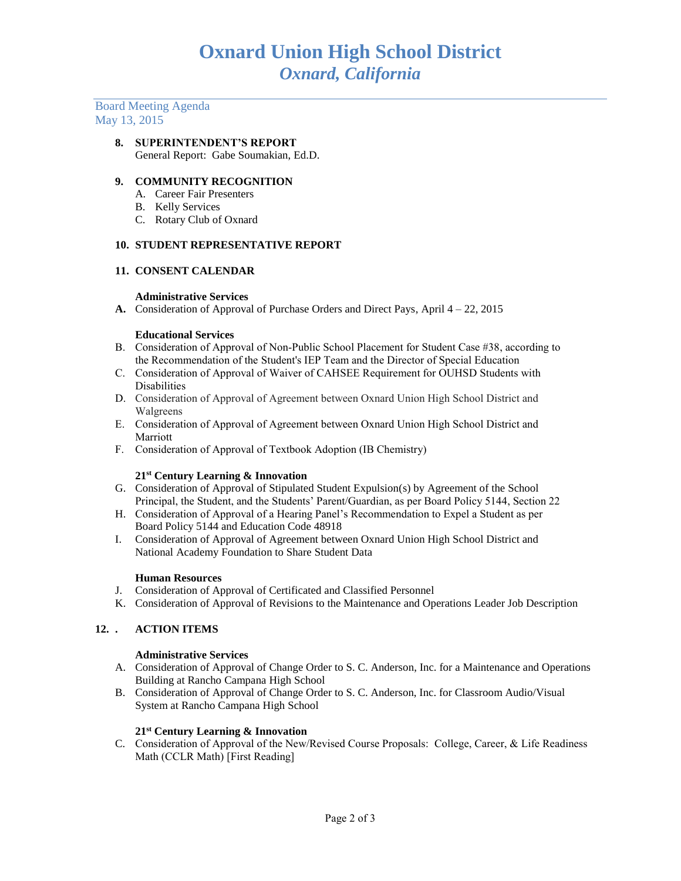Board Meeting Agenda May 13, 2015

# **8. SUPERINTENDENT'S REPORT**

General Report: Gabe Soumakian, Ed.D.

# **9. COMMUNITY RECOGNITION**

- A. Career Fair Presenters
- B. Kelly Services
- C. Rotary Club of Oxnard

#### **10. STUDENT REPRESENTATIVE REPORT**

#### **11. CONSENT CALENDAR**

#### **Administrative Services**

**A.** Consideration of Approval of Purchase Orders and Direct Pays, April 4 – 22, 2015

#### **Educational Services**

- B. Consideration of Approval of Non-Public School Placement for Student Case #38, according to the Recommendation of the Student's IEP Team and the Director of Special Education
- C. Consideration of Approval of Waiver of CAHSEE Requirement for OUHSD Students with Disabilities
- D. Consideration of Approval of Agreement between Oxnard Union High School District and Walgreens
- E. Consideration of Approval of Agreement between Oxnard Union High School District and Marriott
- F. Consideration of Approval of Textbook Adoption (IB Chemistry)

#### **21st Century Learning & Innovation**

- G. Consideration of Approval of Stipulated Student Expulsion(s) by Agreement of the School Principal, the Student, and the Students' Parent/Guardian, as per Board Policy 5144, Section 22
- H. Consideration of Approval of a Hearing Panel's Recommendation to Expel a Student as per Board Policy 5144 and Education Code 48918
- I. Consideration of Approval of Agreement between Oxnard Union High School District and National Academy Foundation to Share Student Data

#### **Human Resources**

- J. Consideration of Approval of Certificated and Classified Personnel
- K. Consideration of Approval of Revisions to the Maintenance and Operations Leader Job Description

# **12. . ACTION ITEMS**

#### **Administrative Services**

- A. Consideration of Approval of Change Order to S. C. Anderson, Inc. for a Maintenance and Operations Building at Rancho Campana High School
- B. Consideration of Approval of Change Order to S. C. Anderson, Inc. for Classroom Audio/Visual System at Rancho Campana High School

# **21st Century Learning & Innovation**

C. Consideration of Approval of the New/Revised Course Proposals: College, Career, & Life Readiness Math (CCLR Math) [First Reading]